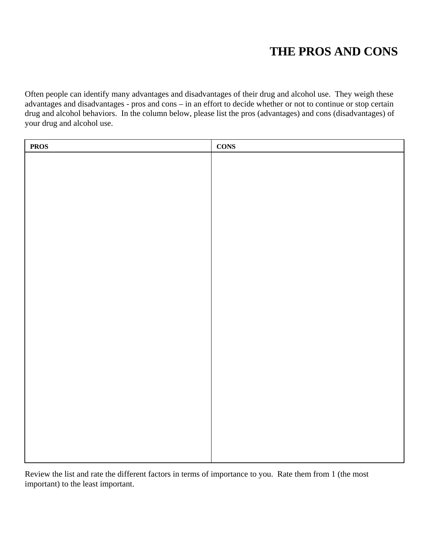## **THE PROS AND CONS**

Often people can identify many advantages and disadvantages of their drug and alcohol use. They weigh these advantages and disadvantages - pros and cons – in an effort to decide whether or not to continue or stop certain drug and alcohol behaviors. In the column below, please list the pros (advantages) and cons (disadvantages) of your drug and alcohol use.

| <b>PROS</b> | <b>CONS</b> |
|-------------|-------------|
|             |             |
|             |             |
|             |             |
|             |             |
|             |             |
|             |             |
|             |             |
|             |             |
|             |             |
|             |             |
|             |             |
|             |             |
|             |             |
|             |             |
|             |             |
|             |             |
|             |             |
|             |             |
|             |             |
|             |             |
|             |             |
|             |             |
|             |             |
|             |             |

Review the list and rate the different factors in terms of importance to you. Rate them from 1 (the most important) to the least important.